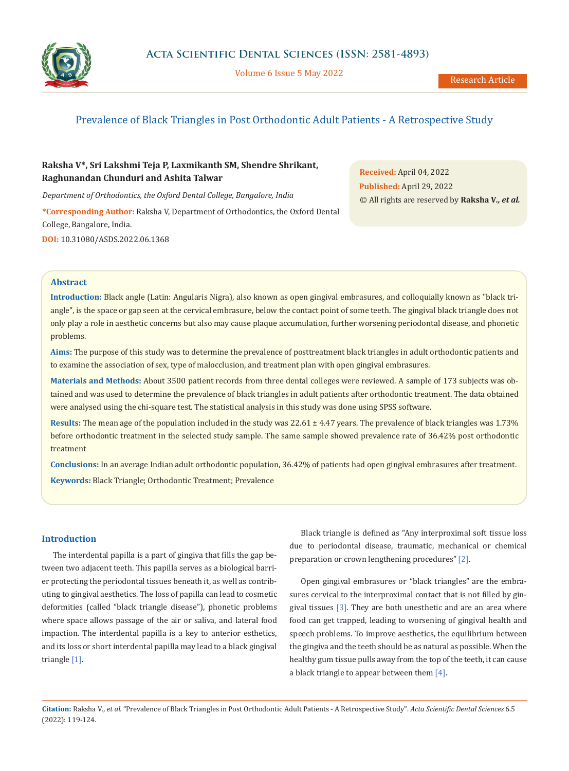

Volume 6 Issue 5 May 2022

# Prevalence of Black Triangles in Post Orthodontic Adult Patients - A Retrospective Study

# **Raksha V\*, Sri Lakshmi Teja P, Laxmikanth SM, Shendre Shrikant, Raghunandan Chunduri and Ashita Talwar**

*Department of Orthodontics, the Oxford Dental College, Bangalore, India* **\*Corresponding Author:** Raksha V, Department of Orthodontics, the Oxford Dental College, Bangalore, India. **DOI:** [10.31080/ASDS.2022.06.1368](https://actascientific.com/ASDS/pdf/ASDS-06-1368.pdf)

**Received:** April 04, 2022 **Published:** April 29, 2022 © All rights are reserved by **Raksha V***., et al.*

### **Abstract**

**Introduction:** Black angle (Latin: Angularis Nigra), also known as open gingival embrasures, and colloquially known as "black triangle", is the space or gap seen at the cervical embrasure, below the contact point of some teeth. The gingival black triangle does not only play a role in aesthetic concerns but also may cause plaque accumulation, further worsening periodontal disease, and phonetic problems.

**Aims:** The purpose of this study was to determine the prevalence of posttreatment black triangles in adult orthodontic patients and to examine the association of sex, type of malocclusion, and treatment plan with open gingival embrasures.

**Materials and Methods:** About 3500 patient records from three dental colleges were reviewed. A sample of 173 subjects was obtained and was used to determine the prevalence of black triangles in adult patients after orthodontic treatment. The data obtained were analysed using the chi-square test. The statistical analysis in this study was done using SPSS software.

**Results:** The mean age of the population included in the study was 22.61 ± 4.47 years. The prevalence of black triangles was 1.73% before orthodontic treatment in the selected study sample. The same sample showed prevalence rate of 36.42% post orthodontic treatment

**Conclusions:** In an average Indian adult orthodontic population, 36.42% of patients had open gingival embrasures after treatment. **Keywords:** Black Triangle; Orthodontic Treatment; Prevalence

# **Introduction**

The interdental papilla is a part of gingiva that fills the gap between two adjacent teeth. This papilla serves as a biological barrier protecting the periodontal tissues beneath it, as well as contributing to gingival aesthetics. The loss of papilla can lead to cosmetic deformities (called "black triangle disease"), phonetic problems where space allows passage of the air or saliva, and lateral food impaction. The interdental papilla is a key to anterior esthetics, and its loss or short interdental papilla may lead to a black gingival triangle [1].

Black triangle is defined as "Any interproximal soft tissue loss due to periodontal disease, traumatic, mechanical or chemical preparation or crown lengthening procedures" [2].

Open gingival embrasures or "black triangles" are the embrasures cervical to the interproximal contact that is not filled by gingival tissues [3]. They are both unesthetic and are an area where food can get trapped, leading to worsening of gingival health and speech problems. To improve aesthetics, the equilibrium between the gingiva and the teeth should be as natural as possible. When the healthy gum tissue pulls away from the top of the teeth, it can cause a black triangle to appear between them [4].

**Citation:** Raksha V*., et al.* "Prevalence of Black Triangles in Post Orthodontic Adult Patients - A Retrospective Study". *Acta Scientific Dental Sciences* 6.5 (2022): 119-124.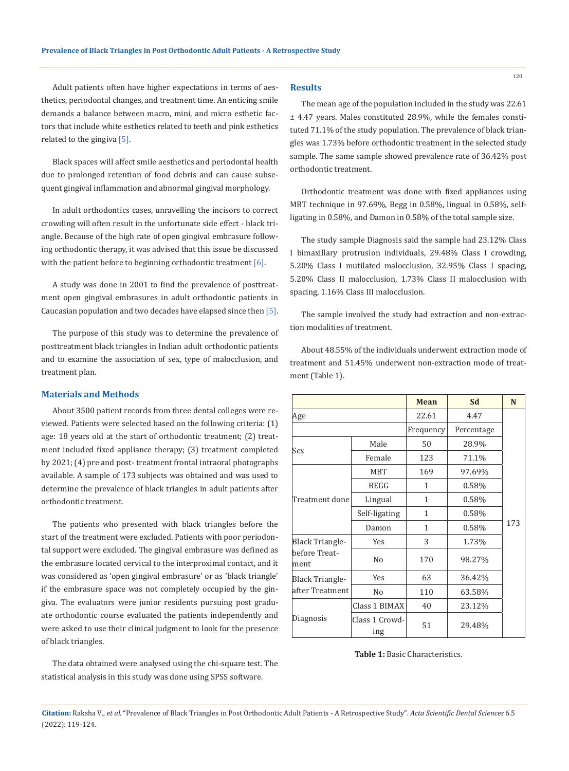# Adult patients often have higher expectations in terms of aesthetics, periodontal changes, and treatment time. An enticing smile demands a balance between macro, mini, and micro esthetic factors that include white esthetics related to teeth and pink esthetics related to the gingiva [5].

Black spaces will affect smile aesthetics and periodontal health due to prolonged retention of food debris and can cause subsequent gingival inflammation and abnormal gingival morphology.

In adult orthodontics cases, unravelling the incisors to correct crowding will often result in the unfortunate side effect - black triangle. Because of the high rate of open gingival embrasure following orthodontic therapy, it was advised that this issue be discussed with the patient before to beginning orthodontic treatment [6].

A study was done in 2001 to find the prevalence of posttreatment open gingival embrasures in adult orthodontic patients in Caucasian population and two decades have elapsed since then [5].

The purpose of this study was to determine the prevalence of posttreatment black triangles in Indian adult orthodontic patients and to examine the association of sex, type of malocclusion, and treatment plan.

### **Materials and Methods**

About 3500 patient records from three dental colleges were reviewed. Patients were selected based on the following criteria: (1) age: 18 years old at the start of orthodontic treatment; (2) treatment included fixed appliance therapy; (3) treatment completed by 2021; (4) pre and post- treatment frontal intraoral photographs available. A sample of 173 subjects was obtained and was used to determine the prevalence of black triangles in adult patients after orthodontic treatment.

The patients who presented with black triangles before the start of the treatment were excluded. Patients with poor periodontal support were excluded. The gingival embrasure was defined as the embrasure located cervical to the interproximal contact, and it was considered as 'open gingival embrasure' or as 'black triangle' if the embrasure space was not completely occupied by the gingiva. The evaluators were junior residents pursuing post graduate orthodontic course evaluated the patients independently and were asked to use their clinical judgment to look for the presence of black triangles.

The data obtained were analysed using the chi-square test. The statistical analysis in this study was done using SPSS software.

#### **Results**

The mean age of the population included in the study was 22.61 ± 4.47 years. Males constituted 28.9%, while the females constituted 71.1% of the study population. The prevalence of black triangles was 1.73% before orthodontic treatment in the selected study sample. The same sample showed prevalence rate of 36.42% post orthodontic treatment.

Orthodontic treatment was done with fixed appliances using MBT technique in 97.69%, Begg in 0.58%, lingual in 0.58%, selfligating in 0.58%, and Damon in 0.58% of the total sample size.

The study sample Diagnosis said the sample had 23.12% Class I bimaxillary protrusion individuals, 29.48% Class I crowding, 5.20% Class I mutilated malocclusion, 32.95% Class I spacing, 5.20% Class II malocclusion, 1.73% Class II malocclusion with spacing, 1.16% Class III malocclusion.

The sample involved the study had extraction and non-extraction modalities of treatment.

About 48.55% of the individuals underwent extraction mode of treatment and 51.45% underwent non-extraction mode of treatment (Table 1).

|                                                 |                       | <b>Mean</b>  | Sd         | N   |
|-------------------------------------------------|-----------------------|--------------|------------|-----|
| Age                                             |                       | 22.61        | 4.47       |     |
|                                                 |                       | Frequency    | Percentage |     |
| Sex                                             | Male                  | 50           | 28.9%      |     |
|                                                 | Female                | 123          | 71.1%      |     |
| Treatment done                                  | <b>MBT</b>            | 169          | 97.69%     |     |
|                                                 | <b>BEGG</b>           | 1            | 0.58%      |     |
|                                                 | Lingual               | $\mathbf{1}$ | 0.58%      |     |
|                                                 | Self-ligating         | 1            | 0.58%      |     |
|                                                 | Damon                 | 1            | 0.58%      | 173 |
| <b>Black Triangle-</b><br>before Treat-<br>ment | Yes                   | 3            | 1.73%      |     |
|                                                 | N <sub>o</sub>        | 170          | 98.27%     |     |
| <b>Black Triangle-</b><br>after Treatment       | <b>Yes</b>            | 63           | 36.42%     |     |
|                                                 | N <sub>o</sub>        | 110          | 63.58%     |     |
| Diagnosis                                       | Class 1 BIMAX         | 40           | 23.12%     |     |
|                                                 | Class 1 Crowd-<br>ing | 51           | 29.48%     |     |

#### **Table 1:** Basic Characteristics.

**Citation:** Raksha V*., et al.* "Prevalence of Black Triangles in Post Orthodontic Adult Patients - A Retrospective Study". *Acta Scientific Dental Sciences* 6.5 (2022): 119-124.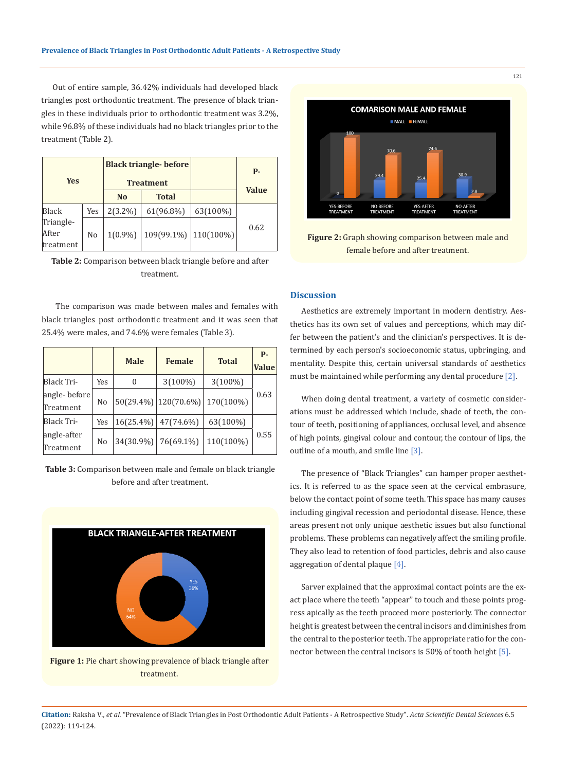Out of entire sample, 36.42% individuals had developed black triangles post orthodontic treatment. The presence of black triangles in these individuals prior to orthodontic treatment was 3.2%, while 96.8% of these individuals had no black triangles prior to the treatment (Table 2).

| <b>Yes</b>                      |     | <b>Black triangle- before</b><br><b>Treatment</b> |                           |          | <b>P</b> -   |
|---------------------------------|-----|---------------------------------------------------|---------------------------|----------|--------------|
|                                 |     | N <sub>o</sub>                                    | <b>Total</b>              |          | <b>Value</b> |
| Black                           | Yes | $2(3.2\%)$                                        | 61(96.8%)                 | 63(100%) |              |
| Triangle-<br>After<br>treatment | No  | $1(0.9\%)$                                        | $109(99.1\%)$   110(100%) |          | 0.62         |

**Table 2:** Comparison between black triangle before and after treatment.

 The comparison was made between males and females with black triangles post orthodontic treatment and it was seen that 25.4% were males, and 74.6% were females (Table 3).

|                           |                | <b>Male</b>  | <b>Female</b>             | <b>Total</b> | <b>P-</b><br><b>Value</b> |
|---------------------------|----------------|--------------|---------------------------|--------------|---------------------------|
| Black Tri-                | Yes            | 0            | $3(100\%)$                | $3(100\%)$   |                           |
| angle-before<br>Treatment | N <sub>o</sub> |              | $50(29.4\%)$   120(70.6%) | 170(100%)    | 0.63                      |
| Black Tri-                | Yes            | $16(25.4\%)$ | 47(74.6%)                 | 63(100%)     |                           |
| angle-after<br>Treatment  | N <sub>0</sub> | 34(30.9%)    | 76(69.1%)                 | 110(100%)    | 0.55                      |

**Table 3:** Comparison between male and female on black triangle before and after treatment.



**Figure 1:** Pie chart showing prevalence of black triangle after treatment.



**Figure 2:** Graph showing comparison between male and female before and after treatment.

# **Discussion**

Aesthetics are extremely important in modern dentistry. Aesthetics has its own set of values and perceptions, which may differ between the patient's and the clinician's perspectives. It is determined by each person's socioeconomic status, upbringing, and mentality. Despite this, certain universal standards of aesthetics must be maintained while performing any dental procedure [2].

When doing dental treatment, a variety of cosmetic considerations must be addressed which include, shade of teeth, the contour of teeth, positioning of appliances, occlusal level, and absence of high points, gingival colour and contour, the contour of lips, the outline of a mouth, and smile line [3].

The presence of "Black Triangles" can hamper proper aesthetics. It is referred to as the space seen at the cervical embrasure, below the contact point of some teeth. This space has many causes including gingival recession and periodontal disease. Hence, these areas present not only unique aesthetic issues but also functional problems. These problems can negatively affect the smiling profile. They also lead to retention of food particles, debris and also cause aggregation of dental plaque [4].

Sarver explained that the approximal contact points are the exact place where the teeth "appear" to touch and these points progress apically as the teeth proceed more posteriorly. The connector height is greatest between the central incisors and diminishes from the central to the posterior teeth. The appropriate ratio for the connector between the central incisors is 50% of tooth height [5].

**Citation:** Raksha V*., et al.* "Prevalence of Black Triangles in Post Orthodontic Adult Patients - A Retrospective Study". *Acta Scientific Dental Sciences* 6.5 (2022): 119-124.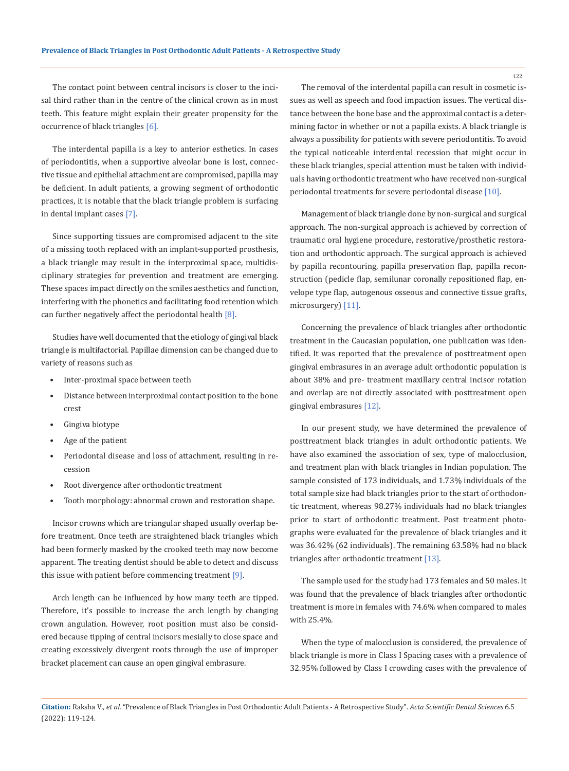The contact point between central incisors is closer to the incisal third rather than in the centre of the clinical crown as in most teeth. This feature might explain their greater propensity for the occurrence of black triangles [6].

The interdental papilla is a key to anterior esthetics. In cases of periodontitis, when a supportive alveolar bone is lost, connective tissue and epithelial attachment are compromised, papilla may be deficient. In adult patients, a growing segment of orthodontic practices, it is notable that the black triangle problem is surfacing in dental implant cases [7].

Since supporting tissues are compromised adjacent to the site of a missing tooth replaced with an implant-supported prosthesis, a black triangle may result in the interproximal space, multidisciplinary strategies for prevention and treatment are emerging. These spaces impact directly on the smiles aesthetics and function, interfering with the phonetics and facilitating food retention which can further negatively affect the periodontal health  $[8]$ .

Studies have well documented that the etiology of gingival black triangle is multifactorial. Papillae dimension can be changed due to variety of reasons such as

- Inter-proximal space between teeth
- Distance between interproximal contact position to the bone crest
- Gingiva biotype
- Age of the patient
- Periodontal disease and loss of attachment, resulting in recession
- Root divergence after orthodontic treatment
- Tooth morphology: abnormal crown and restoration shape.

Incisor crowns which are triangular shaped usually overlap before treatment. Once teeth are straightened black triangles which had been formerly masked by the crooked teeth may now become apparent. The treating dentist should be able to detect and discuss this issue with patient before commencing treatment [9].

Arch length can be influenced by how many teeth are tipped. Therefore, it's possible to increase the arch length by changing crown angulation. However, root position must also be considered because tipping of central incisors mesially to close space and creating excessively divergent roots through the use of improper bracket placement can cause an open gingival embrasure.

The removal of the interdental papilla can result in cosmetic issues as well as speech and food impaction issues. The vertical distance between the bone base and the approximal contact is a determining factor in whether or not a papilla exists. A black triangle is always a possibility for patients with severe periodontitis. To avoid the typical noticeable interdental recession that might occur in these black triangles, special attention must be taken with individuals having orthodontic treatment who have received non-surgical periodontal treatments for severe periodontal disease [10].

Management of black triangle done by non-surgical and surgical approach. The non-surgical approach is achieved by correction of traumatic oral hygiene procedure, restorative/prosthetic restoration and orthodontic approach. The surgical approach is achieved by papilla recontouring, papilla preservation flap, papilla reconstruction (pedicle flap, semilunar coronally repositioned flap, envelope type flap, autogenous osseous and connective tissue grafts, microsurgery) [11].

Concerning the prevalence of black triangles after orthodontic treatment in the Caucasian population, one publication was identified. It was reported that the prevalence of posttreatment open gingival embrasures in an average adult orthodontic population is about 38% and pre- treatment maxillary central incisor rotation and overlap are not directly associated with posttreatment open gingival embrasures [12].

In our present study, we have determined the prevalence of posttreatment black triangles in adult orthodontic patients. We have also examined the association of sex, type of malocclusion, and treatment plan with black triangles in Indian population. The sample consisted of 173 individuals, and 1.73% individuals of the total sample size had black triangles prior to the start of orthodontic treatment, whereas 98.27% individuals had no black triangles prior to start of orthodontic treatment. Post treatment photographs were evaluated for the prevalence of black triangles and it was 36.42% (62 individuals). The remaining 63.58% had no black triangles after orthodontic treatment [13].

The sample used for the study had 173 females and 50 males. It was found that the prevalence of black triangles after orthodontic treatment is more in females with 74.6% when compared to males with 25.4%.

When the type of malocclusion is considered, the prevalence of black triangle is more in Class I Spacing cases with a prevalence of 32.95% followed by Class I crowding cases with the prevalence of

**Citation:** Raksha V*., et al.* "Prevalence of Black Triangles in Post Orthodontic Adult Patients - A Retrospective Study". *Acta Scientific Dental Sciences* 6.5 (2022): 119-124.

122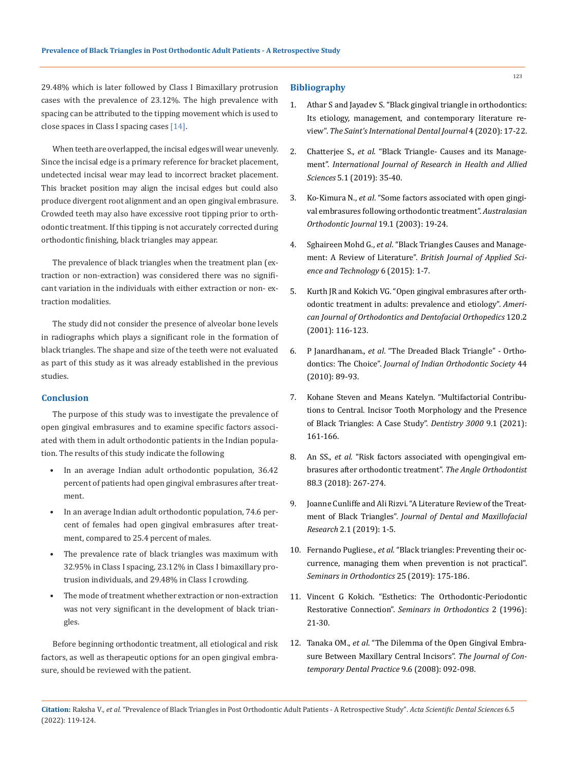29.48% which is later followed by Class I Bimaxillary protrusion cases with the prevalence of 23.12%. The high prevalence with spacing can be attributed to the tipping movement which is used to close spaces in Class I spacing cases [14].

When teeth are overlapped, the incisal edges will wear unevenly. Since the incisal edge is a primary reference for bracket placement, undetected incisal wear may lead to incorrect bracket placement. This bracket position may align the incisal edges but could also produce divergent root alignment and an open gingival embrasure. Crowded teeth may also have excessive root tipping prior to orthodontic treatment. If this tipping is not accurately corrected during orthodontic finishing, black triangles may appear.

The prevalence of black triangles when the treatment plan (extraction or non-extraction) was considered there was no significant variation in the individuals with either extraction or non- extraction modalities.

The study did not consider the presence of alveolar bone levels in radiographs which plays a significant role in the formation of black triangles. The shape and size of the teeth were not evaluated as part of this study as it was already established in the previous studies.

#### **Conclusion**

The purpose of this study was to investigate the prevalence of open gingival embrasures and to examine specific factors associated with them in adult orthodontic patients in the Indian population. The results of this study indicate the following

- In an average Indian adult orthodontic population, 36.42 percent of patients had open gingival embrasures after treatment.
- In an average Indian adult orthodontic population, 74.6 percent of females had open gingival embrasures after treatment, compared to 25.4 percent of males.
- The prevalence rate of black triangles was maximum with 32.95% in Class I spacing, 23.12% in Class I bimaxillary protrusion individuals, and 29.48% in Class I crowding.
- The mode of treatment whether extraction or non-extraction was not very significant in the development of black triangles.

Before beginning orthodontic treatment, all etiological and risk factors, as well as therapeutic options for an open gingival embrasure, should be reviewed with the patient.

#### **Bibliography**

- 1. [Athar S and Jayadev S. "Black gingival triangle in orthodontics:](https://www.sidj.org/article.asp?issn=2454-3160;year=2020;volume=4;issue=1;spage=17;epage=22;aulast=Athar)  [Its etiology, management, and contemporary literature re](https://www.sidj.org/article.asp?issn=2454-3160;year=2020;volume=4;issue=1;spage=17;epage=22;aulast=Athar)view". *[The Saint's International Dental Journal](https://www.sidj.org/article.asp?issn=2454-3160;year=2020;volume=4;issue=1;spage=17;epage=22;aulast=Athar)* 4 (2020): 17-22.
- 2. Chatterjee S., *et al*. "Black Triangle- Causes and its Management". *International Journal of Research in Health and Allied Sciences* 5.1 (2019): 35-40.
- 3. Ko-Kimura N., *et al*[. "Some factors associated with open gingi](https://pubmed.ncbi.nlm.nih.gov/12790352/)[val embrasures following orthodontic treatment".](https://pubmed.ncbi.nlm.nih.gov/12790352/) *Australasian [Orthodontic Journal](https://pubmed.ncbi.nlm.nih.gov/12790352/)* 19.1 (2003): 19-24.
- 4. Sghaireen Mohd G., *et al*[. "Black Triangles Causes and Manage](https://www.researchgate.net/publication/270279114_Black_Triangles_Causes_and_Management_A_Review_of_Literature)ment: A Review of Literature". *[British Journal of Applied Sci](https://www.researchgate.net/publication/270279114_Black_Triangles_Causes_and_Management_A_Review_of_Literature)[ence and Technology](https://www.researchgate.net/publication/270279114_Black_Triangles_Causes_and_Management_A_Review_of_Literature)* 6 (2015): 1-7.
- 5. [Kurth JR and Kokich VG. "Open gingival embrasures after orth](https://pubmed.ncbi.nlm.nih.gov/11500652/)[odontic treatment in adults: prevalence and etiology".](https://pubmed.ncbi.nlm.nih.gov/11500652/) *Ameri[can Journal of Orthodontics and Dentofacial Orthopedics](https://pubmed.ncbi.nlm.nih.gov/11500652/)* 120.2 [\(2001\): 116-123.](https://pubmed.ncbi.nlm.nih.gov/11500652/)
- 6. P Janardhanam., *et al*[. "The Dreaded Black Triangle" Ortho](https://journals.sagepub.com/doi/pdf/10.1177/0974909820100415)dontics: The Choice". *[Journal of Indian Orthodontic Society](https://journals.sagepub.com/doi/pdf/10.1177/0974909820100415)* 44 [\(2010\): 89-93.](https://journals.sagepub.com/doi/pdf/10.1177/0974909820100415)
- 7. [Kohane Steven and Means Katelyn. "Multifactorial Contribu](http://dentistry3000.pitt.edu/ojs/index.php/dentistry3000/article/view/101)[tions to Central. Incisor Tooth Morphology and the Presence](http://dentistry3000.pitt.edu/ojs/index.php/dentistry3000/article/view/101)  [of Black Triangles: A Case Study".](http://dentistry3000.pitt.edu/ojs/index.php/dentistry3000/article/view/101) *Dentistry 3000* 9.1 (2021): [161-166.](http://dentistry3000.pitt.edu/ojs/index.php/dentistry3000/article/view/101)
- 8. An SS., *et al*[. "Risk factors associated with opengingival em](https://pubmed.ncbi.nlm.nih.gov/29337634/)[brasures after orthodontic treatment".](https://pubmed.ncbi.nlm.nih.gov/29337634/) *The Angle Orthodontist*  [88.3 \(2018\): 267-274.](https://pubmed.ncbi.nlm.nih.gov/29337634/)
- 9. [Joanne Cunliffe and Ali Rizvi. "A Literature Review of the Treat](https://researchopenworld.com/a-literature-review-the-treatment-of-black-triangles/)ment of Black Triangles". *[Journal of Dental and Maxillofacial](https://researchopenworld.com/a-literature-review-the-treatment-of-black-triangles/) Research* [2.1 \(2019\): 1-5.](https://researchopenworld.com/a-literature-review-the-treatment-of-black-triangles/)
- 10. Fernando Pugliese., *et al*[. "Black triangles: Preventing their oc](https://www.sciencedirect.com/science/article/abs/pii/S107387461930026X)[currence, managing them when prevention is not practical".](https://www.sciencedirect.com/science/article/abs/pii/S107387461930026X) *[Seminars in Orthodontics](https://www.sciencedirect.com/science/article/abs/pii/S107387461930026X)* 25 (2019): 175-186.
- 11. [Vincent G Kokich. "Esthetics: The Orthodontic-Periodontic](https://pubmed.ncbi.nlm.nih.gov/9161280/) Restorative Connection". *[Seminars in Orthodontics](https://pubmed.ncbi.nlm.nih.gov/9161280/)* 2 (1996): [21-30.](https://pubmed.ncbi.nlm.nih.gov/9161280/)
- 12. Tanaka OM., *et al*[. "The Dilemma of the Open Gingival Embra](https://pubmed.ncbi.nlm.nih.gov/18784864/)[sure Between Maxillary Central Incisors".](https://pubmed.ncbi.nlm.nih.gov/18784864/) *The Journal of Con[temporary Dental Practice](https://pubmed.ncbi.nlm.nih.gov/18784864/)* 9.6 (2008): 092-098.

123

**Citation:** Raksha V*., et al.* "Prevalence of Black Triangles in Post Orthodontic Adult Patients - A Retrospective Study". *Acta Scientific Dental Sciences* 6.5 (2022): 119-124.